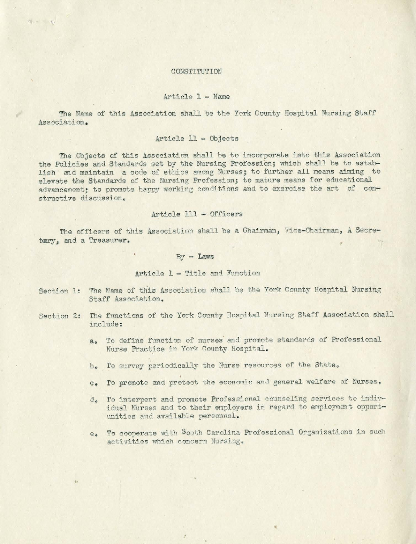## CONSTITUTION

100 4 11 6 14 y

#### Article 1 - Name

The Name of this Association shall be the York County Hospital Nursing Staff Association.

# Article 11 - Objects

The Objects of this Association shall be to incorporate into this Association the Policies and Standards set by the Nursing Profession; which shall be to establish and maintain a code of ethics among Nurses; to further all means aiming to elevate the Standards of the Nursing Profession; to mature means for educational<br>advancement: to promote happy working conditions and to exercise the art of conadvancement; to promote happy working conditions and to exercise the art structive discussion.

#### Article 111 - Officers

The officers of this Association shall be a Chairman, Vice-Chairman, A Secretary, and a Treasurer.

## *~J* - **Laws**

#### Article 1 - Title and Function

- Section 1: The Name of this Association shall be the York County Hospital Nursing Staff Association.
- Section 2: The functions of the York County Hospital Nursing Staff Association shall include :
	- a. To define function of nurses and promote standards of Professional Nurse Practice in York County Hospital.
	- b. To survey periodically the Nurse resources of the State.

y

- c. To promote and protect the economic and general welfare of Nurses.
- **do** To interpert and promote Professional counseling services to individual Nurses and to their employers in regard to employment opportunities and available personnel.
- **e.** To cooperate with South Carolina Professional Organizations in such activities which concern Nursing.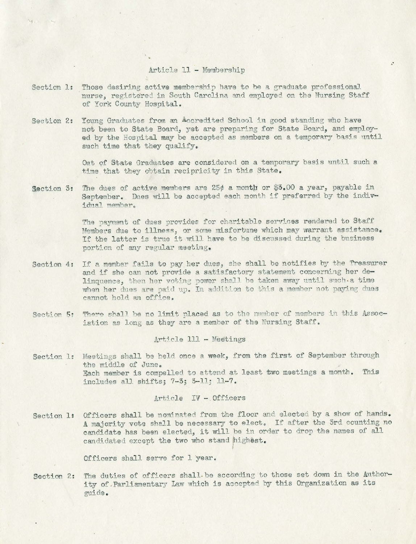## Article 11 - Membership

top,

 $\sim$   $\approx$ 

- Section 1: Those desiring active membership have to be a graduate professional nurse, registered in South Carolina and employed on the Nursine Staff of York County Hospital.
- Section 2: Young Graduates from an Accredited School in good standing who have not been to State Board, yet are preparing for State Board, and employed by the Hospital may be accepted as members on a temporary basis until such time that they qualify.

Out of State Graduates are considered on a temporary basis until such a time that they obtain recipricity in this State.

Section 3: The dues of active members are 25 $\rlap{/}$  a month or \$3.00 a year, payable in September. Dues will be accepted each month if preferred by the individual member.

> The payment of dues provides for charitable services rendered to Staff Members due to illness, or some misfortune which may warrant assistance. If the latter is true it will have to be discussed during the business portion of any regular meetine.

- Section 4: If a member fails to pay her dues, she shall be notifies by the Treasurer and if she can not provide a satisfactory statement concerning her delinquence, then her voting power shall be taken away until such a time when her dues are paid up. In addition to this a member not paying dues cannot hold an office.
- Section 5: There shall be no limit placed as to the number of members in this Association as long as they are a member of the Nursing Staff.

#### Article 111 - Meetings

Section 1: Meetings shall be held once a week, from the first of September through the middle of June. Each member is compelled to attend at least two meetings a month. This includes all shifts; 7-3; 3-11; 11-7.

## Article IV - Officers

Section 1: Officers shall be nominated from the floor and elected by a show of hands. A majority vote shall be necessary to elect. If after the 3rd counting no candidate has been elected, it will be in order to drop the names of all candidated except the two who stand highest.

Officers shall serve for 1 year.

Section 2: The duties of officers shall be according to those set down in the Authority of Parliamentary Law which is accepted by this Organization as its guide .